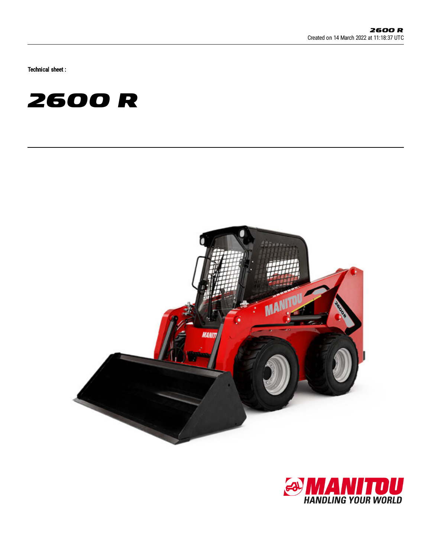Technical sheet :





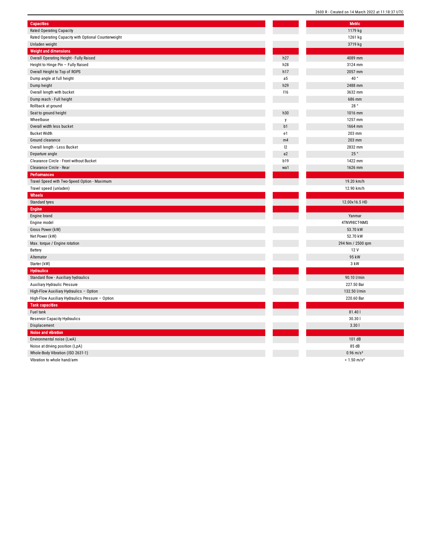| Capacities                                           |            | <b>Metric</b> |
|------------------------------------------------------|------------|---------------|
| Rated Operating Capacity                             |            | 1179 kg       |
| Rated Operating Capacity with Optional Counterweight |            | 1261 kg       |
| Unladen weight                                       |            | 3719 kg       |
| <b>Weight and dimensions</b>                         |            |               |
| Overall Operating Height - Fully Raised              | h27        | 4089 mm       |
| Height to Hinge Pin - Fully Raised                   | h28        | 3124 mm       |
| Overall Height to Top of ROPS                        | h17        | 2057 mm       |
| Dump angle at full height                            | a5         | 40°           |
| Dump height                                          | h29        | 2488 mm       |
| Overall length with bucket                           | <b>116</b> | 3632 mm       |
| Dump reach - Full height                             |            | 686 mm        |
| Rollback at ground                                   |            | 28°           |
| Seat to ground height                                | h30        | 1016 mm       |
| Wheelbase                                            | y          | 1257 mm       |
| Overall width less bucket                            | b1         | 1664 mm       |
| <b>Bucket Width</b>                                  | e1         | 203 mm        |
| Ground clearance                                     | m4         | 203 mm        |
| Overall length - Less Bucket                         | 12         | 2832 mm       |
| Departure angle                                      | a2         | 25°           |
| Clearance Circle - Front without Bucket              | <b>b19</b> | 1422 mm       |
| Clearance Circle - Rear                              | wa1        | 1626 mm       |
| Performances                                         |            |               |
| Travel Speed with Two-Speed Option - Maximum         |            | 19.20 km/     |
| Travel speed (unladen)                               |            | 12.90 km/     |
| Wheels                                               |            |               |
| Standard tyres                                       |            | 12.00x16.5    |
| Engine                                               |            |               |
| Engine brand                                         |            | Yanmar        |
| Engine model                                         |            | 4TNV98CT-N    |
| Gross Power (kW)                                     |            | 53.70 kW      |
| Net Power (kW)                                       |            | 52.70 kW      |
| Max. torque / Engine rotation                        |            | 294 Nm / 250  |
| Battery                                              |            | 12 V          |
| Alternator                                           |            | 95 kW         |
| Starter (kW)                                         |            | 3 kW          |
| <b>Hydraulics</b>                                    |            |               |
| Standard flow - Auxiliary hydraulics                 |            | 90.10 l/mi    |
| <b>Auxiliary Hydraulic Pressure</b>                  |            | 227.50 Ba     |
| High-Flow Auxiliary Hydraulics - Option              |            | 132.50 l/m    |
| High-Flow Auxiliary Hydraulics Pressure - Option     |            | 220.60 Ba     |
| <b>Tank capacities</b>                               |            |               |
| Fuel tank                                            |            | 81.40 l       |
| Reservoir Capacity Hydraulics                        |            | 30.30         |
| Displacement                                         |            | 3.301         |
| <b>Noise and vibration</b>                           |            |               |
| Environmental noise (LwA)                            |            | 101 dB        |
| Noise at driving position (LpA)                      |            | 85 dB         |
| Whole-Body Vibration (ISO 2631-1)                    |            | $0.96$ m/s    |
| Vibration to whole hand/arm                          |            | $< 1.50$ m/s  |
|                                                      |            |               |

| Metric                    |
|---------------------------|
| 1179 kg                   |
| 1261 kg                   |
| 3719 kg                   |
|                           |
| 4089 mm                   |
| 3124 mm                   |
| 2057 mm                   |
| 40°                       |
| 2488 mm                   |
| 3632 mm                   |
| 686 mm                    |
| 28 $^{\circ}$             |
| 1016 mm                   |
| 1257 mm                   |
| 1664 mm                   |
| 203 mm                    |
| 203 mm                    |
| 2832 mm                   |
| 25°                       |
| 1422 mm                   |
| 1626 mm                   |
|                           |
| 19.20 km/h                |
| 12.90 km/h                |
|                           |
|                           |
| 12.00x16.5 HD             |
|                           |
| Yanmar                    |
| 4TNV98CT-NMS              |
| 53.70 kW                  |
| 52.70 kW                  |
| 294 Nm / 2500 rpm         |
| 12 V                      |
| 95 kW                     |
| 3 kW                      |
|                           |
| 90.10 l/min               |
| 227.50 Bar                |
| 132.50 l/min              |
| 220.60 Bar                |
|                           |
| 81.40 l<br>30.301         |
| 3.301                     |
|                           |
| 101 dB                    |
| 85 dB                     |
| $0.96$ m/s <sup>2</sup>   |
| $< 1.50$ m/s <sup>2</sup> |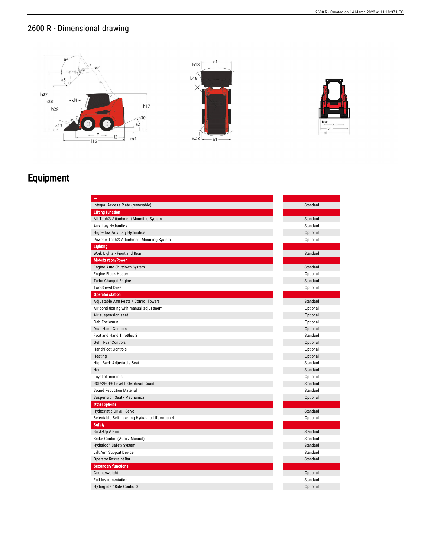## 2600 R - Dimensional drawing



## Equipment

| $\overline{\phantom{a}}$                         |          |
|--------------------------------------------------|----------|
| Integral Access Plate (removable)                | Standard |
| <b>Lifting function</b>                          |          |
| All-Tach® Attachment Mounting System             | Standard |
| Auxiliary Hydraulics                             | Standard |
| High-Flow Auxiliary Hydraulics                   | Optional |
| Power-A-Tach® Attachment Mounting System         | Optional |
| Lighting                                         |          |
| Work Lights - Front and Rear                     | Standard |
| <b>Motorization/Power</b>                        |          |
| Engine Auto-Shutdown System                      | Standard |
| Engine Block Heater                              | Optional |
| <b>Turbo-Charged Engine</b>                      | Standard |
| Two-Speed Drive                                  | Optional |
| <b>Operator station</b>                          |          |
| Adjustable Arm Rests / Control Towers 1          | Standard |
| Air conditioning with manual adjustment          | Optional |
| Air suspension seat                              | Optional |
| Cab Enclosure                                    | Optional |
| <b>Dual-Hand Controls</b>                        | Optional |
| Foot and Hand Throttles 2                        | Standard |
| Gehl T-Bar Controls                              | Optional |
| Hand/Foot Controls                               | Optional |
| Heating                                          | Optional |
| High-Back Adjustable Seat                        | Standard |
| Horn                                             | Standard |
| Joystick controls                                | Optional |
| ROPS/FOPS Level II Overhead Guard                | Standard |
| Sound Reduction Material                         | Standard |
| Suspension Seat - Mechanical                     | Optional |
| Other options                                    |          |
| Hydrostatic Drive - Servo                        | Standard |
| Selectable Self-Leveling Hydraulic Lift Action 4 | Optional |
| <b>Safety</b>                                    |          |
| Back-Up Alarm                                    | Standard |
| Brake Control (Auto / Manual)                    | Standard |
| Hydraloc™ Safety System                          | Standard |
| Lift Arm Support Device                          | Standard |
| <b>Operator Restraint Bar</b>                    | Standard |
| <b>Secondary functions</b>                       |          |
| Counterweight                                    | Optional |
| <b>Full Instrumentation</b>                      | Standard |
| Hydraglide™ Ride Control 3                       | Optional |